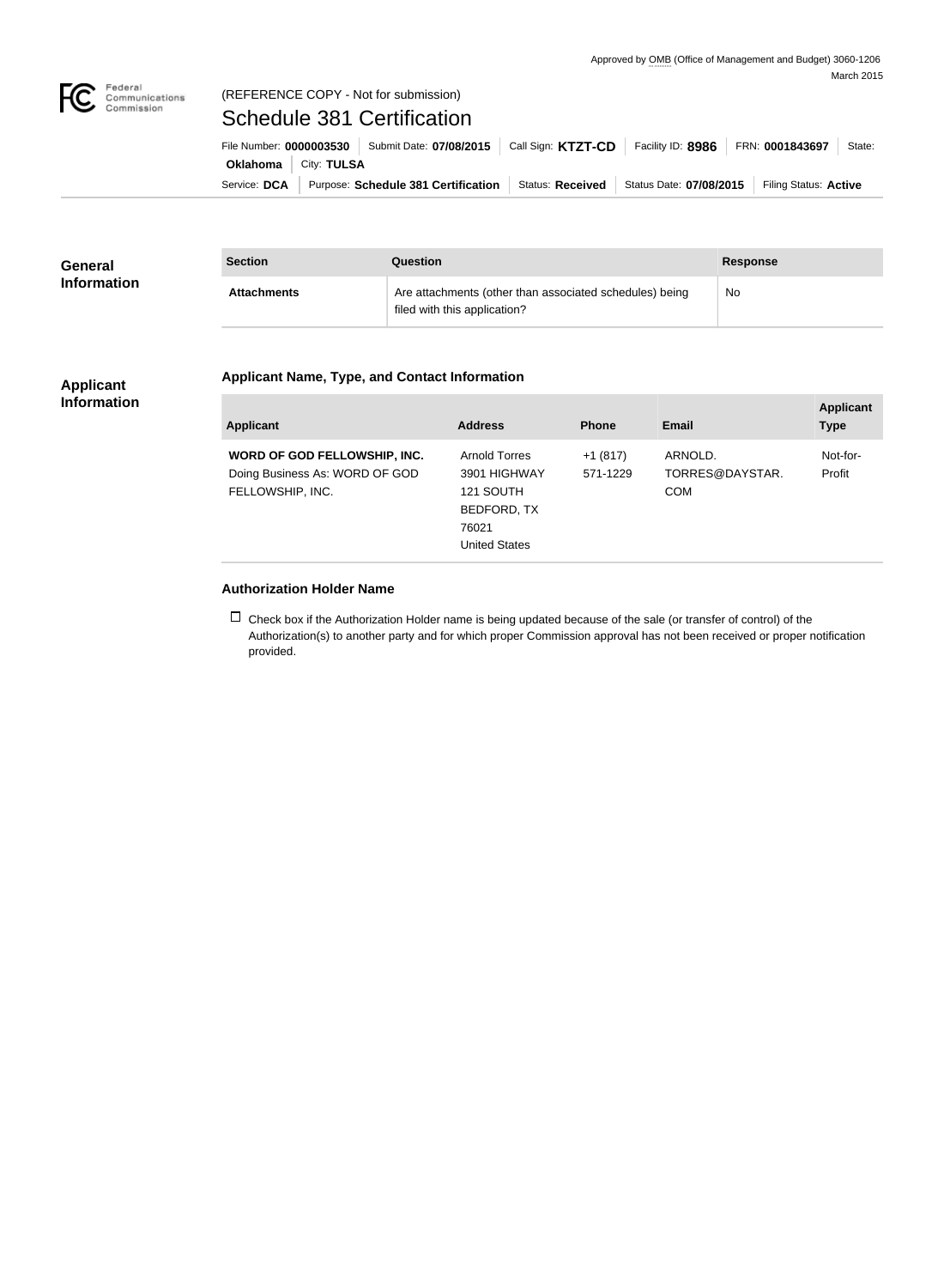

## Federal<br>Communications<br>Commission (REFERENCE COPY - Not for submission)

Schedule 381 Certification

|                               | File Number: 0000003530   Submit Date: 07/08/2015   Call Sign: KTZT-CD |                  | Facility ID: 8986       | FRN: 0001843697       | State: |
|-------------------------------|------------------------------------------------------------------------|------------------|-------------------------|-----------------------|--------|
| <b>Oklahoma</b>   City: TULSA |                                                                        |                  |                         |                       |        |
| Service: DCA                  | Purpose: Schedule 381 Certification                                    | Status: Received | Status Date: 07/08/2015 | Filing Status: Active |        |

| <b>General</b>     | <b>Section</b>     | Question                                                                                | <b>Response</b> |
|--------------------|--------------------|-----------------------------------------------------------------------------------------|-----------------|
| <b>Information</b> | <b>Attachments</b> | Are attachments (other than associated schedules) being<br>filed with this application? | No              |

## **Applicant Information**

## **Applicant Name, Type, and Contact Information**

| Applicant                                                                          | <b>Address</b>                                                                             | <b>Phone</b>          | Email                                    | <b>Applicant</b><br><b>Type</b> |
|------------------------------------------------------------------------------------|--------------------------------------------------------------------------------------------|-----------------------|------------------------------------------|---------------------------------|
| WORD OF GOD FELLOWSHIP, INC.<br>Doing Business As: WORD OF GOD<br>FELLOWSHIP, INC. | Arnold Torres<br>3901 HIGHWAY<br>121 SOUTH<br>BEDFORD, TX<br>76021<br><b>United States</b> | $+1(817)$<br>571-1229 | ARNOLD.<br>TORRES@DAYSTAR.<br><b>COM</b> | Not-for-<br>Profit              |

## **Authorization Holder Name**

 $\Box$  Check box if the Authorization Holder name is being updated because of the sale (or transfer of control) of the Authorization(s) to another party and for which proper Commission approval has not been received or proper notification provided.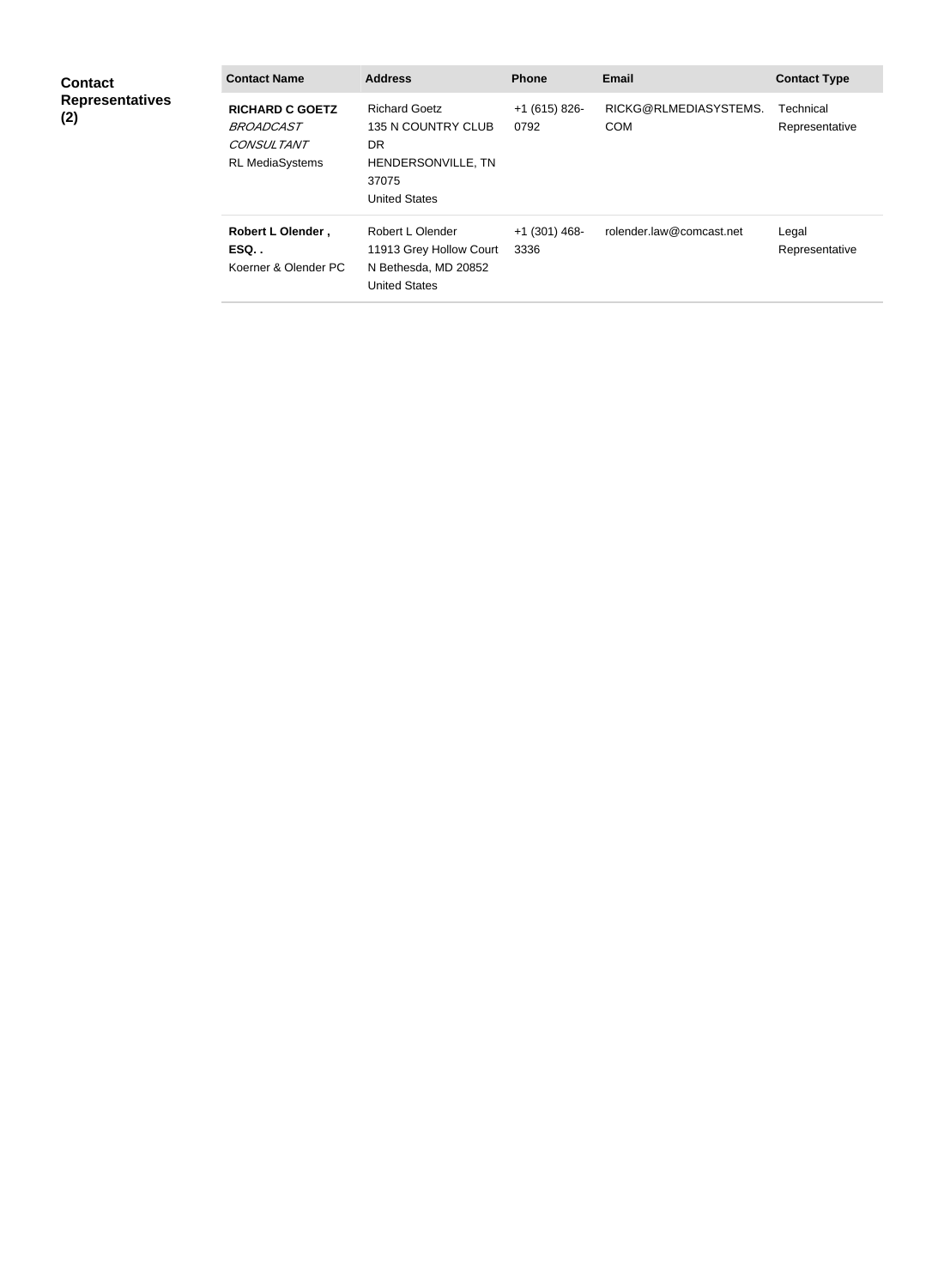| <b>Contact</b><br><b>Representatives</b><br>(2) | <b>Contact Name</b>                                                                | <b>Address</b>                                                                                                 | <b>Phone</b>            | <b>Email</b>                        | <b>Contact Type</b>         |
|-------------------------------------------------|------------------------------------------------------------------------------------|----------------------------------------------------------------------------------------------------------------|-------------------------|-------------------------------------|-----------------------------|
|                                                 | <b>RICHARD C GOETZ</b><br><b>BROADCAST</b><br>CONSULTANT<br><b>RL MediaSystems</b> | <b>Richard Goetz</b><br>135 N COUNTRY CLUB<br><b>DR</b><br>HENDERSONVILLE, TN<br>37075<br><b>United States</b> | $+1(615)826$<br>0792    | RICKG@RLMEDIASYSTEMS.<br><b>COM</b> | Technical<br>Representative |
|                                                 | Robert L Olender,<br>ESQ<br>Koerner & Olender PC                                   | Robert L Olender<br>11913 Grey Hollow Court<br>N Bethesda, MD 20852<br><b>United States</b>                    | $+1$ (301) 468-<br>3336 | rolender.law@comcast.net            | Legal<br>Representative     |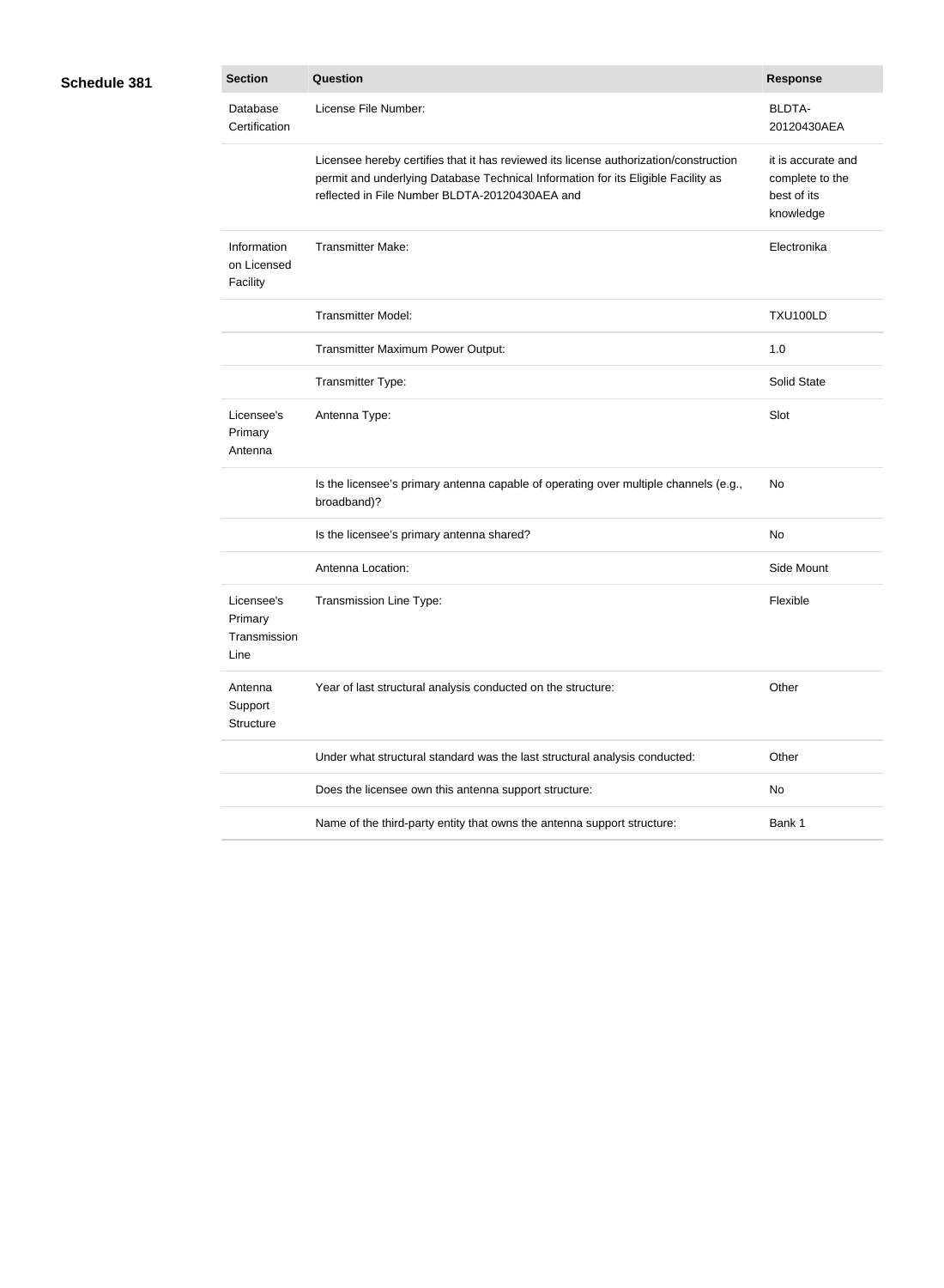| Schedule 381 |  |
|--------------|--|
|--------------|--|

| 31 | <b>Section</b>                                | Question                                                                                                                                                                                                                     | <b>Response</b>                                                   |
|----|-----------------------------------------------|------------------------------------------------------------------------------------------------------------------------------------------------------------------------------------------------------------------------------|-------------------------------------------------------------------|
|    | Database<br>Certification                     | License File Number:                                                                                                                                                                                                         | <b>BLDTA-</b><br>20120430AEA                                      |
|    |                                               | Licensee hereby certifies that it has reviewed its license authorization/construction<br>permit and underlying Database Technical Information for its Eligible Facility as<br>reflected in File Number BLDTA-20120430AEA and | it is accurate and<br>complete to the<br>best of its<br>knowledge |
|    | Information<br>on Licensed<br>Facility        | <b>Transmitter Make:</b>                                                                                                                                                                                                     | Electronika                                                       |
|    |                                               | <b>Transmitter Model:</b>                                                                                                                                                                                                    | <b>TXU100LD</b>                                                   |
|    |                                               | Transmitter Maximum Power Output:                                                                                                                                                                                            | 1.0                                                               |
|    |                                               | Transmitter Type:                                                                                                                                                                                                            | Solid State                                                       |
|    | Licensee's<br>Primary<br>Antenna              | Antenna Type:                                                                                                                                                                                                                | Slot                                                              |
|    |                                               | Is the licensee's primary antenna capable of operating over multiple channels (e.g.,<br>broadband)?                                                                                                                          | No                                                                |
|    |                                               | Is the licensee's primary antenna shared?                                                                                                                                                                                    | No                                                                |
|    |                                               | Antenna Location:                                                                                                                                                                                                            | Side Mount                                                        |
|    | Licensee's<br>Primary<br>Transmission<br>Line | Transmission Line Type:                                                                                                                                                                                                      | Flexible                                                          |
|    | Antenna<br>Support<br>Structure               | Year of last structural analysis conducted on the structure:                                                                                                                                                                 | Other                                                             |
|    |                                               | Under what structural standard was the last structural analysis conducted:                                                                                                                                                   | Other                                                             |
|    |                                               | Does the licensee own this antenna support structure:                                                                                                                                                                        | No                                                                |
|    |                                               | Name of the third-party entity that owns the antenna support structure:                                                                                                                                                      | Bank 1                                                            |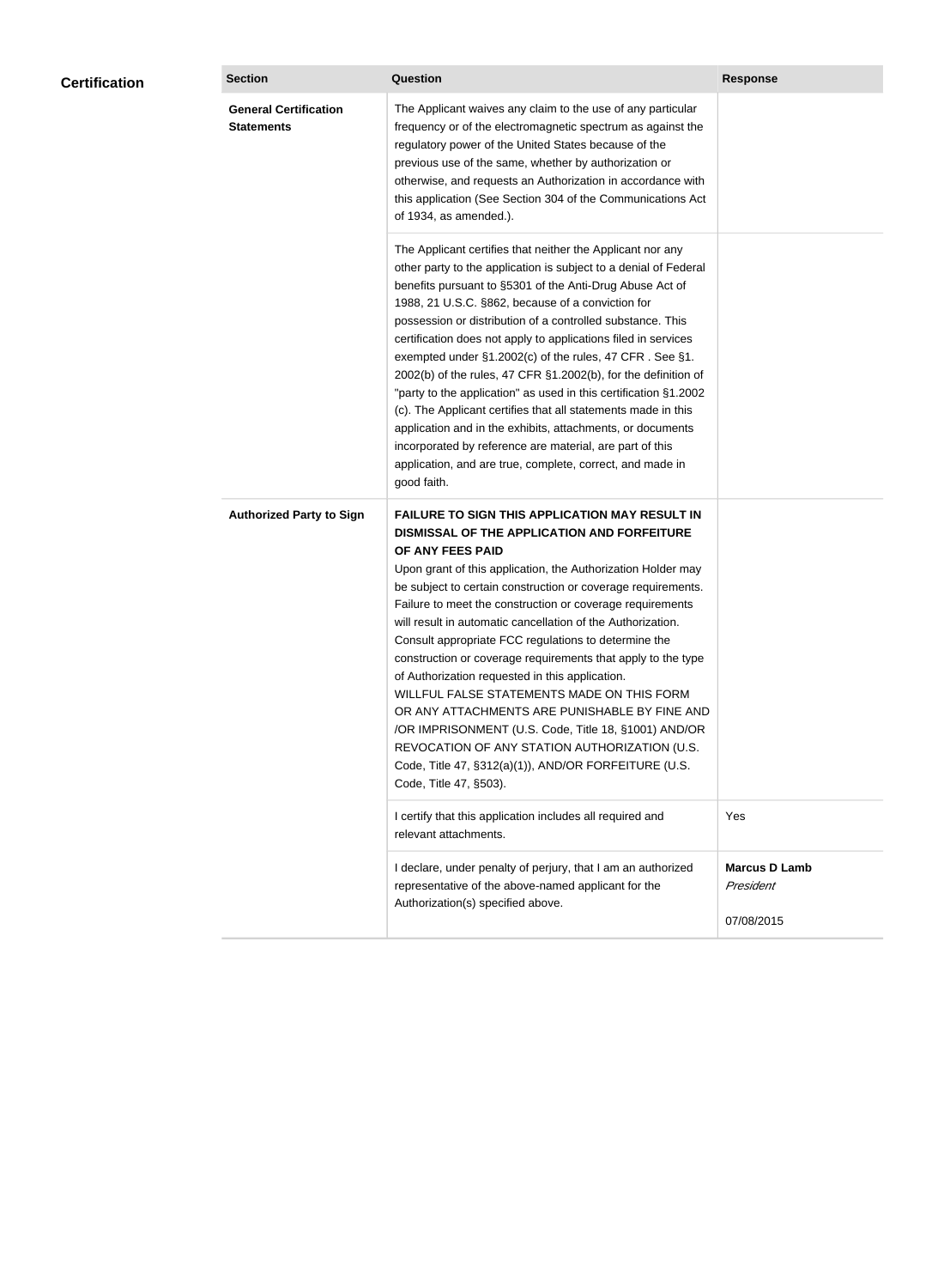| <b>General Certification</b><br>The Applicant waives any claim to the use of any particular<br><b>Statements</b><br>frequency or of the electromagnetic spectrum as against the<br>regulatory power of the United States because of the<br>previous use of the same, whether by authorization or<br>otherwise, and requests an Authorization in accordance with<br>this application (See Section 304 of the Communications Act<br>of 1934, as amended.).<br>The Applicant certifies that neither the Applicant nor any<br>other party to the application is subject to a denial of Federal<br>benefits pursuant to §5301 of the Anti-Drug Abuse Act of<br>1988, 21 U.S.C. §862, because of a conviction for<br>possession or distribution of a controlled substance. This<br>certification does not apply to applications filed in services<br>exempted under §1.2002(c) of the rules, 47 CFR. See §1.<br>2002(b) of the rules, 47 CFR §1.2002(b), for the definition of<br>"party to the application" as used in this certification §1.2002<br>(c). The Applicant certifies that all statements made in this<br>application and in the exhibits, attachments, or documents<br>incorporated by reference are material, are part of this<br>application, and are true, complete, correct, and made in<br>good faith.<br><b>Authorized Party to Sign</b><br><b>FAILURE TO SIGN THIS APPLICATION MAY RESULT IN</b><br>DISMISSAL OF THE APPLICATION AND FORFEITURE<br>OF ANY FEES PAID<br>Upon grant of this application, the Authorization Holder may<br>be subject to certain construction or coverage requirements.<br>Failure to meet the construction or coverage requirements<br>will result in automatic cancellation of the Authorization.<br>Consult appropriate FCC regulations to determine the<br>construction or coverage requirements that apply to the type<br>of Authorization requested in this application. | <b>Certification</b> | <b>Section</b> | <b>Question</b>                            | <b>Response</b>      |
|---------------------------------------------------------------------------------------------------------------------------------------------------------------------------------------------------------------------------------------------------------------------------------------------------------------------------------------------------------------------------------------------------------------------------------------------------------------------------------------------------------------------------------------------------------------------------------------------------------------------------------------------------------------------------------------------------------------------------------------------------------------------------------------------------------------------------------------------------------------------------------------------------------------------------------------------------------------------------------------------------------------------------------------------------------------------------------------------------------------------------------------------------------------------------------------------------------------------------------------------------------------------------------------------------------------------------------------------------------------------------------------------------------------------------------------------------------------------------------------------------------------------------------------------------------------------------------------------------------------------------------------------------------------------------------------------------------------------------------------------------------------------------------------------------------------------------------------------------------------------------------------------------------------------------|----------------------|----------------|--------------------------------------------|----------------------|
|                                                                                                                                                                                                                                                                                                                                                                                                                                                                                                                                                                                                                                                                                                                                                                                                                                                                                                                                                                                                                                                                                                                                                                                                                                                                                                                                                                                                                                                                                                                                                                                                                                                                                                                                                                                                                                                                                                                           |                      |                |                                            |                      |
|                                                                                                                                                                                                                                                                                                                                                                                                                                                                                                                                                                                                                                                                                                                                                                                                                                                                                                                                                                                                                                                                                                                                                                                                                                                                                                                                                                                                                                                                                                                                                                                                                                                                                                                                                                                                                                                                                                                           |                      |                |                                            |                      |
| OR ANY ATTACHMENTS ARE PUNISHABLE BY FINE AND<br>/OR IMPRISONMENT (U.S. Code, Title 18, §1001) AND/OR<br>REVOCATION OF ANY STATION AUTHORIZATION (U.S.<br>Code, Title 47, §312(a)(1)), AND/OR FORFEITURE (U.S.<br>Code, Title 47, §503).                                                                                                                                                                                                                                                                                                                                                                                                                                                                                                                                                                                                                                                                                                                                                                                                                                                                                                                                                                                                                                                                                                                                                                                                                                                                                                                                                                                                                                                                                                                                                                                                                                                                                  |                      |                | WILLFUL FALSE STATEMENTS MADE ON THIS FORM |                      |
| I certify that this application includes all required and<br>Yes<br>relevant attachments.                                                                                                                                                                                                                                                                                                                                                                                                                                                                                                                                                                                                                                                                                                                                                                                                                                                                                                                                                                                                                                                                                                                                                                                                                                                                                                                                                                                                                                                                                                                                                                                                                                                                                                                                                                                                                                 |                      |                |                                            |                      |
| I declare, under penalty of perjury, that I am an authorized<br>representative of the above-named applicant for the<br>President<br>Authorization(s) specified above.<br>07/08/2015                                                                                                                                                                                                                                                                                                                                                                                                                                                                                                                                                                                                                                                                                                                                                                                                                                                                                                                                                                                                                                                                                                                                                                                                                                                                                                                                                                                                                                                                                                                                                                                                                                                                                                                                       |                      |                |                                            | <b>Marcus D Lamb</b> |